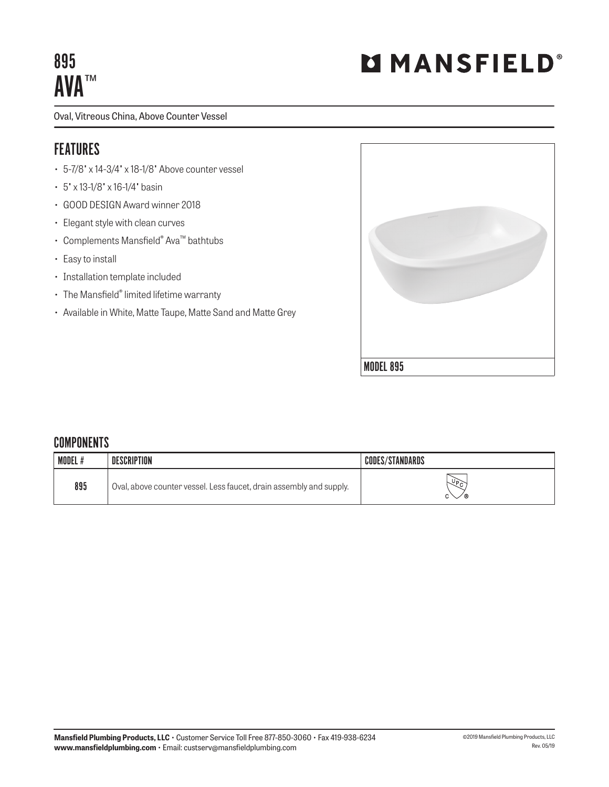# 895 AVA™

Oval, Vitreous China, Above Counter Vessel

## FEATURES

- 5-7/8" x 14-3/4" x 18-1/8" Above counter vessel
- 5" x 13-1/8" x 16-1/4" basin
- GOOD DESIGN Award winner 2018
- Elegant style with clean curves
- Complements Mansfield® Ava™ bathtubs
- Easy to install
- Installation template included
- The Mansfield® limited lifetime warranty
- Available in White, Matte Taupe, Matte Sand and Matte Grey



#### **COMPONENTS**

| <b>MODEL#</b> | <b>DESCRIPTION</b>                                                  | <b>CODES/STANDARDS</b> |
|---------------|---------------------------------------------------------------------|------------------------|
| 895           | Oval, above counter vessel. Less faucet, drain assembly and supply. | $\sqrt{6}$<br>0°       |